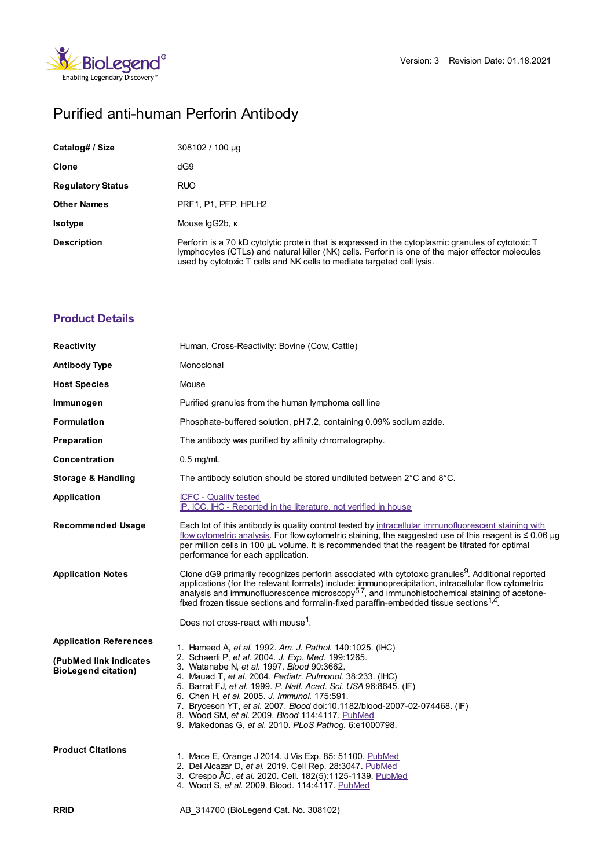

# Purified anti-human Perforin Antibody

| Catalog# / Size          | 308102 / 100 µg                                                                                                                                                                                                                                                                   |  |
|--------------------------|-----------------------------------------------------------------------------------------------------------------------------------------------------------------------------------------------------------------------------------------------------------------------------------|--|
| Clone                    | dG9                                                                                                                                                                                                                                                                               |  |
| <b>Regulatory Status</b> | <b>RUO</b>                                                                                                                                                                                                                                                                        |  |
| <b>Other Names</b>       | PRF1, P1, PFP, HPLH2                                                                                                                                                                                                                                                              |  |
| <b>Isotype</b>           | Mouse lgG2b, K                                                                                                                                                                                                                                                                    |  |
| <b>Description</b>       | Perforin is a 70 kD cytolytic protein that is expressed in the cytoplasmic granules of cytotoxic T<br>lymphocytes (CTLs) and natural killer (NK) cells. Perforin is one of the major effector molecules<br>used by cytotoxic T cells and NK cells to mediate targeted cell lysis. |  |

## **[Product](https://www.biolegend.com/de-de/products/purified-anti-human-perforin-antibody-886?pdf=true&displayInline=true&leftRightMargin=15&topBottomMargin=15&filename=Purified anti-human Perforin Antibody.pdf#productDetails) Details**

| Reactivity                                           | Human, Cross-Reactivity: Bovine (Cow, Cattle)                                                                                                                                                                                                                                                                                                                                                                                                                              |  |
|------------------------------------------------------|----------------------------------------------------------------------------------------------------------------------------------------------------------------------------------------------------------------------------------------------------------------------------------------------------------------------------------------------------------------------------------------------------------------------------------------------------------------------------|--|
| <b>Antibody Type</b>                                 | Monoclonal                                                                                                                                                                                                                                                                                                                                                                                                                                                                 |  |
| <b>Host Species</b>                                  | Mouse                                                                                                                                                                                                                                                                                                                                                                                                                                                                      |  |
| Immunogen                                            | Purified granules from the human lymphoma cell line                                                                                                                                                                                                                                                                                                                                                                                                                        |  |
| <b>Formulation</b>                                   | Phosphate-buffered solution, pH 7.2, containing 0.09% sodium azide.                                                                                                                                                                                                                                                                                                                                                                                                        |  |
| Preparation                                          | The antibody was purified by affinity chromatography.                                                                                                                                                                                                                                                                                                                                                                                                                      |  |
| Concentration                                        | $0.5$ mg/mL                                                                                                                                                                                                                                                                                                                                                                                                                                                                |  |
| <b>Storage &amp; Handling</b>                        | The antibody solution should be stored undiluted between $2^{\circ}$ C and $8^{\circ}$ C.                                                                                                                                                                                                                                                                                                                                                                                  |  |
| Application                                          | <b>ICFC - Quality tested</b><br>IP, ICC, IHC - Reported in the literature, not verified in house                                                                                                                                                                                                                                                                                                                                                                           |  |
| <b>Recommended Usage</b>                             | Each lot of this antibody is quality control tested by intracellular immunofluorescent staining with<br>flow cytometric analysis. For flow cytometric staining, the suggested use of this reagent is $\leq 0.06$ µg<br>per million cells in 100 µL volume. It is recommended that the reagent be titrated for optimal<br>performance for each application.                                                                                                                 |  |
| <b>Application Notes</b>                             | Clone dG9 primarily recognizes perforin associated with cytotoxic granules <sup>9</sup> . Additional reported<br>applications (for the relevant formats) include: immunoprecipitation, intracellular flow cytometric<br>analysis and immunofluorescence microscopy $57$ , and immunohistochemical staining of acetone-<br>fixed frozen tissue sections and formalin-fixed paraffin-embedded tissue sections <sup>1,4</sup> .                                               |  |
|                                                      | Does not cross-react with mouse <sup>1</sup> .                                                                                                                                                                                                                                                                                                                                                                                                                             |  |
| <b>Application References</b>                        | 1. Hameed A, et al. 1992. Am. J. Pathol. 140:1025. (IHC)                                                                                                                                                                                                                                                                                                                                                                                                                   |  |
| (PubMed link indicates<br><b>BioLegend citation)</b> | 2. Schaerli P, et al. 2004. J. Exp. Med. 199:1265.<br>3. Watanabe N, et al. 1997. Blood 90:3662.<br>4. Mauad T, et al. 2004. Pediatr. Pulmonol. 38:233. (IHC)<br>5. Barrat FJ, et al. 1999. P. Natl. Acad. Sci. USA 96:8645. (IF)<br>6. Chen H, et al. 2005. J. Immunol. 175:591.<br>7. Bryceson YT, et al. 2007. Blood doi:10.1182/blood-2007-02-074468. (IF)<br>8. Wood SM, et al. 2009. Blood 114:4117. PubMed<br>9. Makedonas G, et al. 2010. PLoS Pathog. 6:e1000798. |  |
| <b>Product Citations</b>                             | 1. Mace E, Orange J 2014. J Vis Exp. 85: 51100. PubMed<br>2. Del Alcazar D, et al. 2019. Cell Rep. 28:3047. PubMed<br>3. Crespo ÂC, et al. 2020. Cell. 182(5):1125-1139. PubMed<br>4. Wood S, et al. 2009. Blood. 114:4117. PubMed                                                                                                                                                                                                                                         |  |
| <b>RRID</b>                                          | AB 314700 (BioLegend Cat. No. 308102)                                                                                                                                                                                                                                                                                                                                                                                                                                      |  |